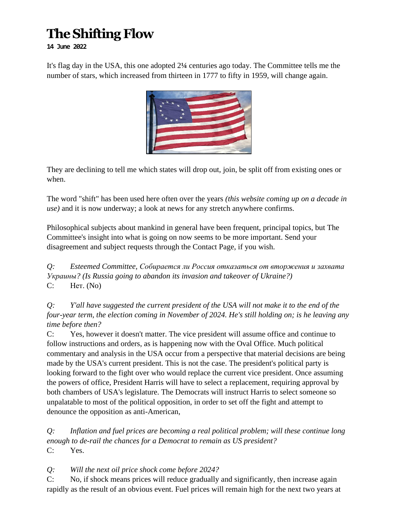## **The Shifting Flow**

**14 June 2022**

It's flag day in the USA, this one adopted 2**¼** centuries ago today. The Committee tells me the number of stars, which increased from thirteen in 1777 to fifty in 1959, will change again.



They are declining to tell me which states will drop out, join, be split off from existing ones or when.

The word "shift" has been used here often over the years *(this website coming up on a decade in use)* and it is now underway; a look at news for any stretch anywhere confirms.

Philosophical subjects about mankind in general have been frequent, principal topics, but The Committee's insight into what is going on now seems to be more important. Send your disagreement and subject requests through the Contact Page, if you wish.

*Q: Esteemed Committee, Собирается ли Россия отказаться от вторжения и захвата Украины? (Is Russia going to abandon its invasion and takeover of Ukraine?)* C: Нет. (No)

*Q: Y'all have suggested the current president of the USA will not make it to the end of the four-year term, the election coming in November of 2024. He's still holding on; is he leaving any time before then?*

C: Yes, however it doesn't matter. The vice president will assume office and continue to follow instructions and orders, as is happening now with the Oval Office. Much political commentary and analysis in the USA occur from a perspective that material decisions are being made by the USA's current president. This is not the case. The president's political party is looking forward to the fight over who would replace the current vice president. Once assuming the powers of office, President Harris will have to select a replacement, requiring approval by both chambers of USA's legislature. The Democrats will instruct Harris to select someone so unpalatable to most of the political opposition, in order to set off the fight and attempt to denounce the opposition as anti-American,

*Q: Inflation and fuel prices are becoming a real political problem; will these continue long enough to de-rail the chances for a Democrat to remain as US president?* C: Yes.

*Q: Will the next oil price shock come before 2024?*

C: No, if shock means prices will reduce gradually and significantly, then increase again rapidly as the result of an obvious event. Fuel prices will remain high for the next two years at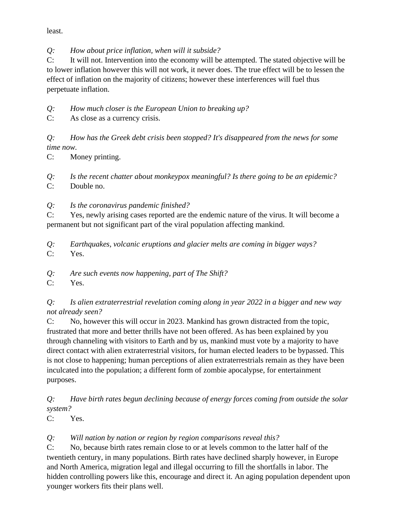least.

*Q: How about price inflation, when will it subside?*

C: It will not. Intervention into the economy will be attempted. The stated objective will be to lower inflation however this will not work, it never does. The true effect will be to lessen the effect of inflation on the majority of citizens; however these interferences will fuel thus perpetuate inflation.

*Q: How much closer is the European Union to breaking up?*

C: As close as a currency crisis.

*Q: How has the Greek debt crisis been stopped? It's disappeared from the news for some time now.*

C: Money printing.

*Q: Is the recent chatter about monkeypox meaningful? Is there going to be an epidemic?* C: Double no.

*Q: Is the coronavirus pandemic finished?*

C: Yes, newly arising cases reported are the endemic nature of the virus. It will become a permanent but not significant part of the viral population affecting mankind.

*Q: Earthquakes, volcanic eruptions and glacier melts are coming in bigger ways?* C: Yes.

*Q: Are such events now happening, part of The Shift?*

C: Yes.

*Q: Is alien extraterrestrial revelation coming along in year 2022 in a bigger and new way not already seen?*

C: No, however this will occur in 2023. Mankind has grown distracted from the topic, frustrated that more and better thrills have not been offered. As has been explained by you through channeling with visitors to Earth and by us, mankind must vote by a majority to have direct contact with alien extraterrestrial visitors, for human elected leaders to be bypassed. This is not close to happening; human perceptions of alien extraterrestrials remain as they have been inculcated into the population; a different form of zombie apocalypse, for entertainment purposes.

*Q: Have birth rates begun declining because of energy forces coming from outside the solar system?*

C: Yes.

*Q: Will nation by nation or region by region comparisons reveal this?*

C: No, because birth rates remain close to or at levels common to the latter half of the twentieth century, in many populations. Birth rates have declined sharply however, in Europe and North America, migration legal and illegal occurring to fill the shortfalls in labor. The hidden controlling powers like this, encourage and direct it. An aging population dependent upon younger workers fits their plans well.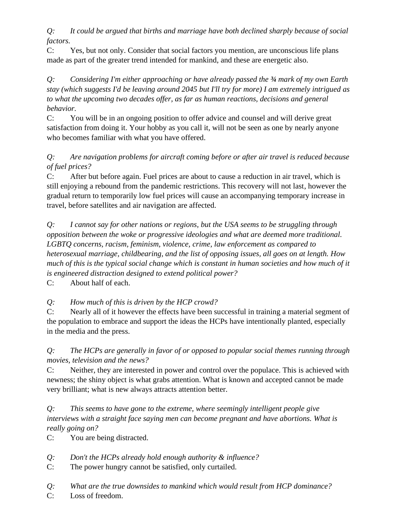*Q: It could be argued that births and marriage have both declined sharply because of social factors.*

C: Yes, but not only. Consider that social factors you mention, are unconscious life plans made as part of the greater trend intended for mankind, and these are energetic also.

*Q: Considering I'm either approaching or have already passed the ¾ mark of my own Earth stay (which suggests I'd be leaving around 2045 but I'll try for more) I am extremely intrigued as to what the upcoming two decades offer, as far as human reactions, decisions and general behavior.*

C: You will be in an ongoing position to offer advice and counsel and will derive great satisfaction from doing it. Your hobby as you call it, will not be seen as one by nearly anyone who becomes familiar with what you have offered.

## *Q: Are navigation problems for aircraft coming before or after air travel is reduced because of fuel prices?*

C: After but before again. Fuel prices are about to cause a reduction in air travel, which is still enjoying a rebound from the pandemic restrictions. This recovery will not last, however the gradual return to temporarily low fuel prices will cause an accompanying temporary increase in travel, before satellites and air navigation are affected.

*Q: I cannot say for other nations or regions, but the USA seems to be struggling through opposition between the woke or progressive ideologies and what are deemed more traditional. LGBTQ concerns, racism, feminism, violence, crime, law enforcement as compared to heterosexual marriage, childbearing, and the list of opposing issues, all goes on at length. How much of this is the typical social change which is constant in human societies and how much of it is engineered distraction designed to extend political power?*

C: About half of each.

*Q: How much of this is driven by the HCP crowd?*

C: Nearly all of it however the effects have been successful in training a material segment of the population to embrace and support the ideas the HCPs have intentionally planted, especially in the media and the press.

*Q: The HCPs are generally in favor of or opposed to popular social themes running through movies, television and the news?*

C: Neither, they are interested in power and control over the populace. This is achieved with newness; the shiny object is what grabs attention. What is known and accepted cannot be made very brilliant; what is new always attracts attention better.

*Q: This seems to have gone to the extreme, where seemingly intelligent people give interviews with a straight face saying men can become pregnant and have abortions. What is really going on?*

C: You are being distracted.

- *Q: Don't the HCPs already hold enough authority & influence?*
- C: The power hungry cannot be satisfied, only curtailed.
- *Q: What are the true downsides to mankind which would result from HCP dominance?*
- C: Loss of freedom.